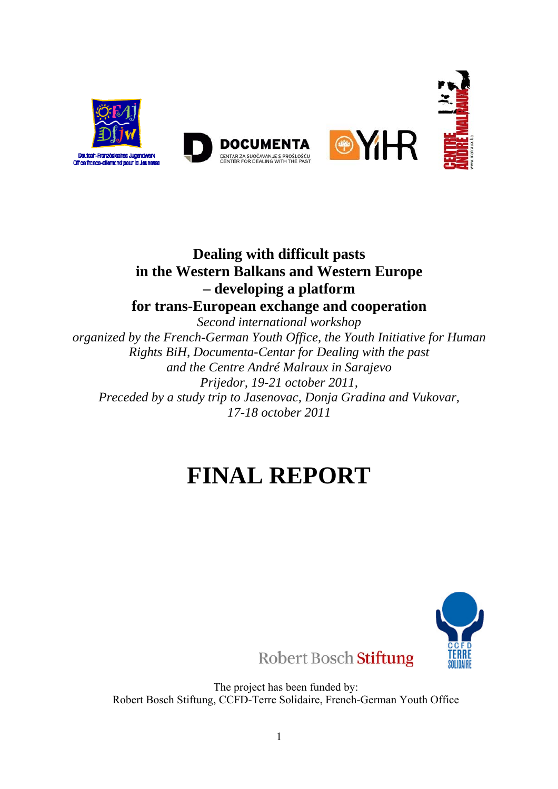

# **Dealing with difficult pasts in the Western Balkans and Western Europe – developing a platform for trans-European exchange and cooperation**

*Second international workshop organized by the French-German Youth Office, the Youth Initiative for Human Rights BiH, Documenta-Centar for Dealing with the past and the Centre André Malraux in Sarajevo Prijedor, 19-21 october 2011, Preceded by a study trip to Jasenovac, Donja Gradina and Vukovar, 17-18 october 2011* 

# **FINAL REPORT**



Robert Bosch Stiftung

The project has been funded by: Robert Bosch Stiftung, CCFD-Terre Solidaire, French-German Youth Office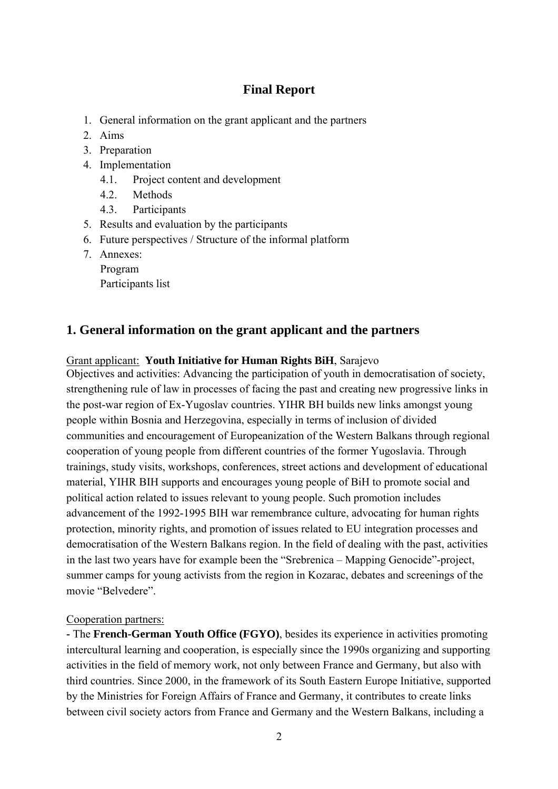## **Final Report**

- 1. General information on the grant applicant and the partners
- 2. Aims
- 3. Preparation
- 4. Implementation
	- 4.1. Project content and development
	- 4.2. Methods
	- 4.3. Participants
- 5. Results and evaluation by the participants
- 6. Future perspectives / Structure of the informal platform
- 7. Annexes:
	- Program

Participants list

## **1. General information on the grant applicant and the partners**

#### Grant applicant: **Youth Initiative for Human Rights BiH**, Sarajevo

Objectives and activities: Advancing the participation of youth in democratisation of society, strengthening rule of law in processes of facing the past and creating new progressive links in the post-war region of Ex-Yugoslav countries. YIHR BH builds new links amongst young people within Bosnia and Herzegovina, especially in terms of inclusion of divided communities and encouragement of Europeanization of the Western Balkans through regional cooperation of young people from different countries of the former Yugoslavia. Through trainings, study visits, workshops, conferences, street actions and development of educational material, YIHR BIH supports and encourages young people of BiH to promote social and political action related to issues relevant to young people. Such promotion includes advancement of the 1992-1995 BIH war remembrance culture, advocating for human rights protection, minority rights, and promotion of issues related to EU integration processes and democratisation of the Western Balkans region. In the field of dealing with the past, activities in the last two years have for example been the "Srebrenica – Mapping Genocide"-project, summer camps for young activists from the region in Kozarac, debates and screenings of the movie "Belvedere".

#### Cooperation partners:

**-** The **French-German Youth Office (FGYO)**, besides its experience in activities promoting intercultural learning and cooperation, is especially since the 1990s organizing and supporting activities in the field of memory work, not only between France and Germany, but also with third countries. Since 2000, in the framework of its South Eastern Europe Initiative, supported by the Ministries for Foreign Affairs of France and Germany, it contributes to create links between civil society actors from France and Germany and the Western Balkans, including a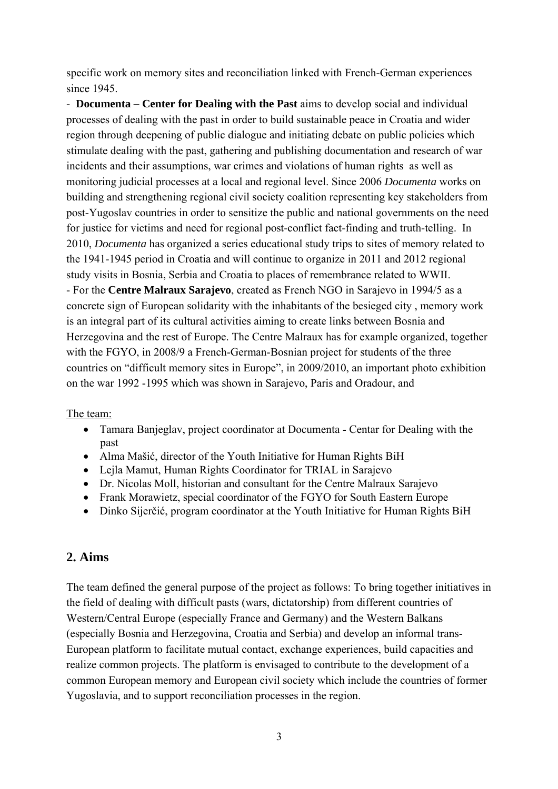specific work on memory sites and reconciliation linked with French-German experiences since 1945.

- **Documenta – Center for Dealing with the Past** aims to develop social and individual processes of dealing with the past in order to build sustainable peace in Croatia and wider region through deepening of public dialogue and initiating debate on public policies which stimulate dealing with the past, gathering and publishing documentation and research of war incidents and their assumptions, war crimes and violations of human rights as well as monitoring judicial processes at a local and regional level. Since 2006 *Documenta* works on building and strengthening regional civil society coalition representing key stakeholders from post-Yugoslav countries in order to sensitize the public and national governments on the need for justice for victims and need for regional post-conflict fact-finding and truth-telling. In 2010, *Documenta* has organized a series educational study trips to sites of memory related to the 1941-1945 period in Croatia and will continue to organize in 2011 and 2012 regional study visits in Bosnia, Serbia and Croatia to places of remembrance related to WWII. - For the **Centre Malraux Sarajevo**, created as French NGO in Sarajevo in 1994/5 as a concrete sign of European solidarity with the inhabitants of the besieged city , memory work is an integral part of its cultural activities aiming to create links between Bosnia and Herzegovina and the rest of Europe. The Centre Malraux has for example organized, together with the FGYO, in 2008/9 a French-German-Bosnian project for students of the three countries on "difficult memory sites in Europe", in 2009/2010, an important photo exhibition on the war 1992 -1995 which was shown in Sarajevo, Paris and Oradour, and

The team:

- Tamara Banjeglav, project coordinator at Documenta Centar for Dealing with the past
- Alma Mašić, director of the Youth Initiative for Human Rights BiH
- Lejla Mamut, Human Rights Coordinator for TRIAL in Sarajevo
- Dr. Nicolas Moll, historian and consultant for the Centre Malraux Sarajevo
- Frank Morawietz, special coordinator of the FGYO for South Eastern Europe
- Dinko Sijerčić, program coordinator at the Youth Initiative for Human Rights BiH

# **2. Aims**

The team defined the general purpose of the project as follows: To bring together initiatives in the field of dealing with difficult pasts (wars, dictatorship) from different countries of Western/Central Europe (especially France and Germany) and the Western Balkans (especially Bosnia and Herzegovina, Croatia and Serbia) and develop an informal trans-European platform to facilitate mutual contact, exchange experiences, build capacities and realize common projects. The platform is envisaged to contribute to the development of a common European memory and European civil society which include the countries of former Yugoslavia, and to support reconciliation processes in the region.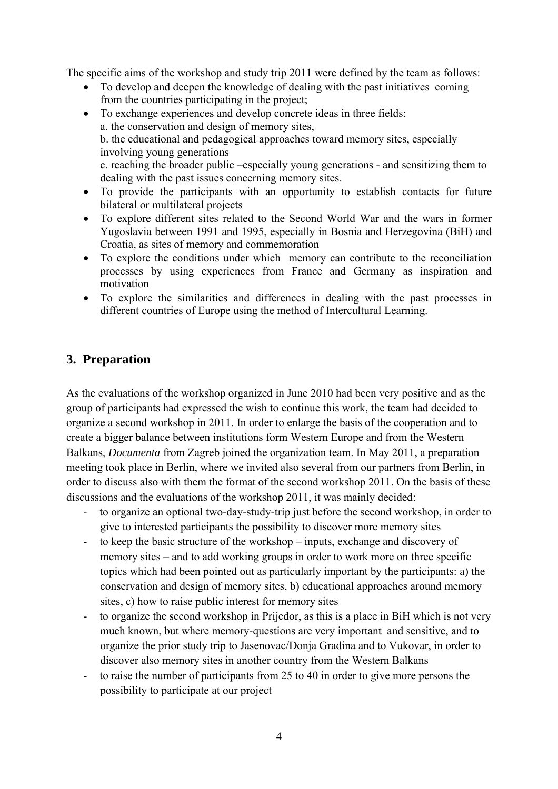The specific aims of the workshop and study trip 2011 were defined by the team as follows:

- To develop and deepen the knowledge of dealing with the past initiatives coming from the countries participating in the project;
- To exchange experiences and develop concrete ideas in three fields: a. the conservation and design of memory sites, b. the educational and pedagogical approaches toward memory sites, especially involving young generations c. reaching the broader public –especially young generations - and sensitizing them to dealing with the past issues concerning memory sites.
- To provide the participants with an opportunity to establish contacts for future bilateral or multilateral projects
- To explore different sites related to the Second World War and the wars in former Yugoslavia between 1991 and 1995, especially in Bosnia and Herzegovina (BiH) and Croatia, as sites of memory and commemoration
- To explore the conditions under which memory can contribute to the reconciliation processes by using experiences from France and Germany as inspiration and motivation
- To explore the similarities and differences in dealing with the past processes in different countries of Europe using the method of Intercultural Learning.

## **3. Preparation**

As the evaluations of the workshop organized in June 2010 had been very positive and as the group of participants had expressed the wish to continue this work, the team had decided to organize a second workshop in 2011. In order to enlarge the basis of the cooperation and to create a bigger balance between institutions form Western Europe and from the Western Balkans, *Documenta* from Zagreb joined the organization team. In May 2011, a preparation meeting took place in Berlin, where we invited also several from our partners from Berlin, in order to discuss also with them the format of the second workshop 2011. On the basis of these discussions and the evaluations of the workshop 2011, it was mainly decided:

- to organize an optional two-day-study-trip just before the second workshop, in order to give to interested participants the possibility to discover more memory sites
- to keep the basic structure of the workshop inputs, exchange and discovery of memory sites – and to add working groups in order to work more on three specific topics which had been pointed out as particularly important by the participants: a) the conservation and design of memory sites, b) educational approaches around memory sites, c) how to raise public interest for memory sites
- to organize the second workshop in Prijedor, as this is a place in BiH which is not very much known, but where memory-questions are very important and sensitive, and to organize the prior study trip to Jasenovac/Donja Gradina and to Vukovar, in order to discover also memory sites in another country from the Western Balkans
- to raise the number of participants from 25 to 40 in order to give more persons the possibility to participate at our project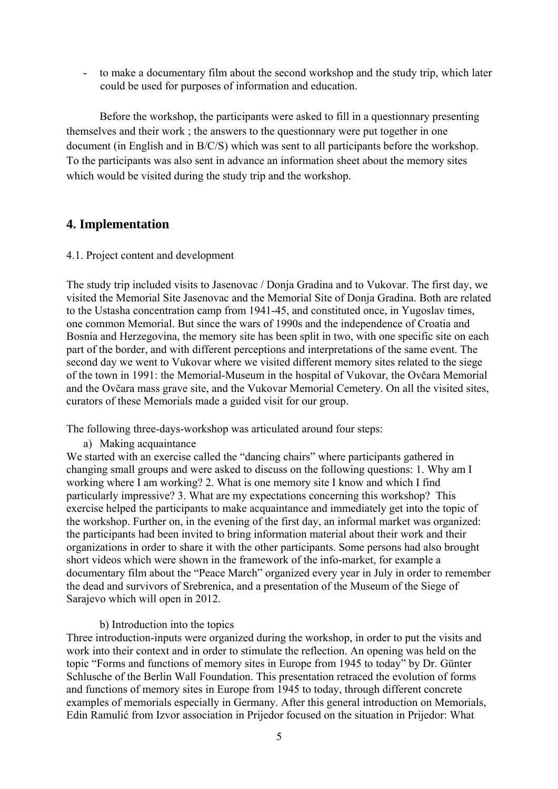- to make a documentary film about the second workshop and the study trip, which later could be used for purposes of information and education.

Before the workshop, the participants were asked to fill in a questionnary presenting themselves and their work ; the answers to the questionnary were put together in one document (in English and in B/C/S) which was sent to all participants before the workshop. To the participants was also sent in advance an information sheet about the memory sites which would be visited during the study trip and the workshop.

## **4. Implementation**

4.1. Project content and development

The study trip included visits to Jasenovac / Donja Gradina and to Vukovar. The first day, we visited the Memorial Site Jasenovac and the Memorial Site of Donja Gradina. Both are related to the Ustasha concentration camp from 1941-45, and constituted once, in Yugoslav times, one common Memorial. But since the wars of 1990s and the independence of Croatia and Bosnia and Herzegovina, the memory site has been split in two, with one specific site on each part of the border, and with different perceptions and interpretations of the same event. The second day we went to Vukovar where we visited different memory sites related to the siege of the town in 1991: the Memorial-Museum in the hospital of Vukovar, the Ovčara Memorial and the Ovčara mass grave site, and the Vukovar Memorial Cemetery. On all the visited sites, curators of these Memorials made a guided visit for our group.

The following three-days-workshop was articulated around four steps:

a) Making acquaintance

We started with an exercise called the "dancing chairs" where participants gathered in changing small groups and were asked to discuss on the following questions: 1. Why am I working where I am working? 2. What is one memory site I know and which I find particularly impressive? 3. What are my expectations concerning this workshop? This exercise helped the participants to make acquaintance and immediately get into the topic of the workshop. Further on, in the evening of the first day, an informal market was organized: the participants had been invited to bring information material about their work and their organizations in order to share it with the other participants. Some persons had also brought short videos which were shown in the framework of the info-market, for example a documentary film about the "Peace March" organized every year in July in order to remember the dead and survivors of Srebrenica, and a presentation of the Museum of the Siege of Sarajevo which will open in 2012.

#### b) Introduction into the topics

Three introduction-inputs were organized during the workshop, in order to put the visits and work into their context and in order to stimulate the reflection. An opening was held on the topic "Forms and functions of memory sites in Europe from 1945 to today" by Dr. Günter Schlusche of the Berlin Wall Foundation. This presentation retraced the evolution of forms and functions of memory sites in Europe from 1945 to today, through different concrete examples of memorials especially in Germany. After this general introduction on Memorials, Edin Ramulić from Izvor association in Prijedor focused on the situation in Prijedor: What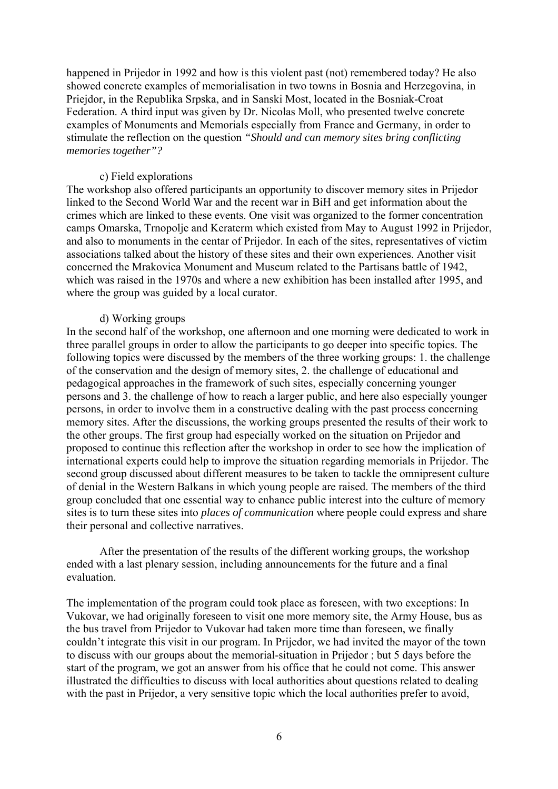happened in Prijedor in 1992 and how is this violent past (not) remembered today? He also showed concrete examples of memorialisation in two towns in Bosnia and Herzegovina, in Priejdor, in the Republika Srpska, and in Sanski Most, located in the Bosniak-Croat Federation. A third input was given by Dr. Nicolas Moll, who presented twelve concrete examples of Monuments and Memorials especially from France and Germany, in order to stimulate the reflection on the question *"Should and can memory sites bring conflicting memories together"?* 

#### c) Field explorations

The workshop also offered participants an opportunity to discover memory sites in Prijedor linked to the Second World War and the recent war in BiH and get information about the crimes which are linked to these events. One visit was organized to the former concentration camps Omarska, Trnopolje and Keraterm which existed from May to August 1992 in Prijedor, and also to monuments in the centar of Prijedor. In each of the sites, representatives of victim associations talked about the history of these sites and their own experiences. Another visit concerned the Mrakovica Monument and Museum related to the Partisans battle of 1942, which was raised in the 1970s and where a new exhibition has been installed after 1995, and where the group was guided by a local curator.

#### d) Working groups

In the second half of the workshop, one afternoon and one morning were dedicated to work in three parallel groups in order to allow the participants to go deeper into specific topics. The following topics were discussed by the members of the three working groups: 1. the challenge of the conservation and the design of memory sites, 2. the challenge of educational and pedagogical approaches in the framework of such sites, especially concerning younger persons and 3. the challenge of how to reach a larger public, and here also especially younger persons, in order to involve them in a constructive dealing with the past process concerning memory sites. After the discussions, the working groups presented the results of their work to the other groups. The first group had especially worked on the situation on Prijedor and proposed to continue this reflection after the workshop in order to see how the implication of international experts could help to improve the situation regarding memorials in Prijedor. The second group discussed about different measures to be taken to tackle the omnipresent culture of denial in the Western Balkans in which young people are raised. The members of the third group concluded that one essential way to enhance public interest into the culture of memory sites is to turn these sites into *places of communication* where people could express and share their personal and collective narratives.

After the presentation of the results of the different working groups, the workshop ended with a last plenary session, including announcements for the future and a final evaluation.

The implementation of the program could took place as foreseen, with two exceptions: In Vukovar, we had originally foreseen to visit one more memory site, the Army House, bus as the bus travel from Prijedor to Vukovar had taken more time than foreseen, we finally couldn't integrate this visit in our program. In Prijedor, we had invited the mayor of the town to discuss with our groups about the memorial-situation in Prijedor ; but 5 days before the start of the program, we got an answer from his office that he could not come. This answer illustrated the difficulties to discuss with local authorities about questions related to dealing with the past in Prijedor, a very sensitive topic which the local authorities prefer to avoid,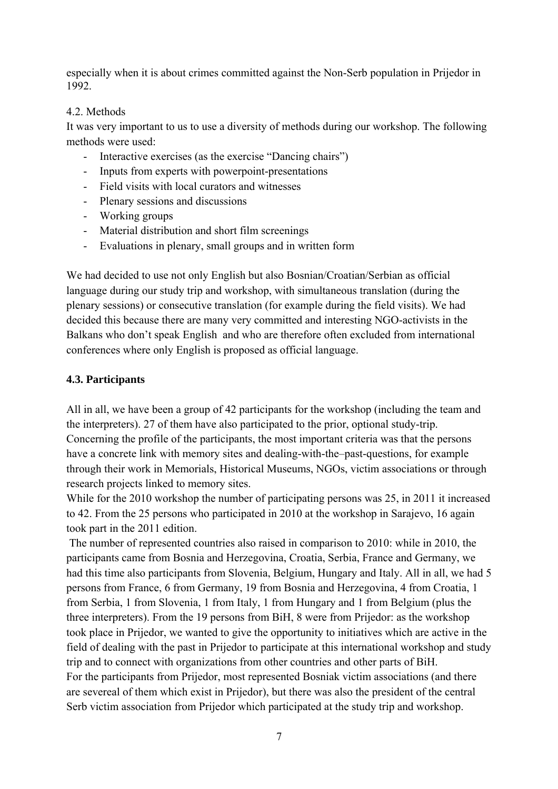especially when it is about crimes committed against the Non-Serb population in Prijedor in 1992.

#### 4.2. Methods

It was very important to us to use a diversity of methods during our workshop. The following methods were used:

- Interactive exercises (as the exercise "Dancing chairs")
- Inputs from experts with powerpoint-presentations
- Field visits with local curators and witnesses
- Plenary sessions and discussions
- Working groups
- Material distribution and short film screenings
- Evaluations in plenary, small groups and in written form

We had decided to use not only English but also Bosnian/Croatian/Serbian as official language during our study trip and workshop, with simultaneous translation (during the plenary sessions) or consecutive translation (for example during the field visits). We had decided this because there are many very committed and interesting NGO-activists in the Balkans who don't speak English and who are therefore often excluded from international conferences where only English is proposed as official language.

#### **4.3. Participants**

All in all, we have been a group of 42 participants for the workshop (including the team and the interpreters). 27 of them have also participated to the prior, optional study-trip. Concerning the profile of the participants, the most important criteria was that the persons have a concrete link with memory sites and dealing-with-the–past-questions, for example through their work in Memorials, Historical Museums, NGOs, victim associations or through research projects linked to memory sites.

While for the 2010 workshop the number of participating persons was 25, in 2011 it increased to 42. From the 25 persons who participated in 2010 at the workshop in Sarajevo, 16 again took part in the 2011 edition.

 The number of represented countries also raised in comparison to 2010: while in 2010, the participants came from Bosnia and Herzegovina, Croatia, Serbia, France and Germany, we had this time also participants from Slovenia, Belgium, Hungary and Italy. All in all, we had 5 persons from France, 6 from Germany, 19 from Bosnia and Herzegovina, 4 from Croatia, 1 from Serbia, 1 from Slovenia, 1 from Italy, 1 from Hungary and 1 from Belgium (plus the three interpreters). From the 19 persons from BiH, 8 were from Prijedor: as the workshop took place in Prijedor, we wanted to give the opportunity to initiatives which are active in the field of dealing with the past in Prijedor to participate at this international workshop and study trip and to connect with organizations from other countries and other parts of BiH. For the participants from Prijedor, most represented Bosniak victim associations (and there are severeal of them which exist in Prijedor), but there was also the president of the central Serb victim association from Prijedor which participated at the study trip and workshop.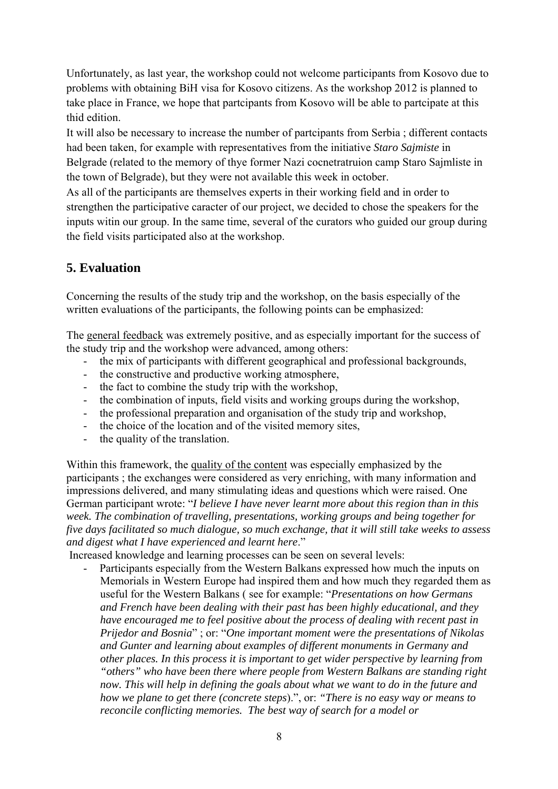Unfortunately, as last year, the workshop could not welcome participants from Kosovo due to problems with obtaining BiH visa for Kosovo citizens. As the workshop 2012 is planned to take place in France, we hope that partcipants from Kosovo will be able to partcipate at this thid edition.

It will also be necessary to increase the number of partcipants from Serbia ; different contacts had been taken, for example with representatives from the initiative *Staro Sajmiste* in Belgrade (related to the memory of thye former Nazi cocnetratruion camp Staro Sajmliste in the town of Belgrade), but they were not available this week in october.

As all of the participants are themselves experts in their working field and in order to strengthen the participative caracter of our project, we decided to chose the speakers for the inputs witin our group. In the same time, several of the curators who guided our group during the field visits participated also at the workshop.

# **5. Evaluation**

Concerning the results of the study trip and the workshop, on the basis especially of the written evaluations of the participants, the following points can be emphasized:

The general feedback was extremely positive, and as especially important for the success of the study trip and the workshop were advanced, among others:

- the mix of participants with different geographical and professional backgrounds,
- the constructive and productive working atmosphere,
- the fact to combine the study trip with the workshop,
- the combination of inputs, field visits and working groups during the workshop,
- the professional preparation and organisation of the study trip and workshop,
- the choice of the location and of the visited memory sites,
- the quality of the translation.

Within this framework, the quality of the content was especially emphasized by the participants ; the exchanges were considered as very enriching, with many information and impressions delivered, and many stimulating ideas and questions which were raised. One German participant wrote: "*I believe I have never learnt more about this region than in this week. The combination of travelling, presentations, working groups and being together for five days facilitated so much dialogue, so much exchange, that it will still take weeks to assess and digest what I have experienced and learnt here*."

Increased knowledge and learning processes can be seen on several levels:

Participants especially from the Western Balkans expressed how much the inputs on Memorials in Western Europe had inspired them and how much they regarded them as useful for the Western Balkans ( see for example: "*Presentations on how Germans and French have been dealing with their past has been highly educational, and they have encouraged me to feel positive about the process of dealing with recent past in Prijedor and Bosnia*" ; or: "*One important moment were the presentations of Nikolas and Gunter and learning about examples of different monuments in Germany and other places. In this process it is important to get wider perspective by learning from "others" who have been there where people from Western Balkans are standing right now. This will help in defining the goals about what we want to do in the future and how we plane to get there (concrete steps*).", or: *"There is no easy way or means to reconcile conflicting memories. The best way of search for a model or*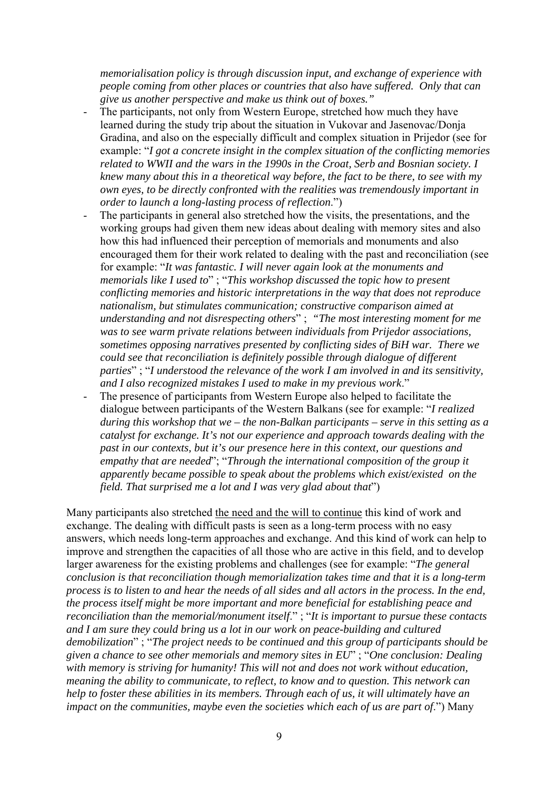*memorialisation policy is through discussion input, and exchange of experience with people coming from other places or countries that also have suffered. Only that can give us another perspective and make us think out of boxes."*

- The participants, not only from Western Europe, stretched how much they have learned during the study trip about the situation in Vukovar and Jasenovac/Donja Gradina, and also on the especially difficult and complex situation in Prijedor (see for example: "*I got a concrete insight in the complex situation of the conflicting memories related to WWII and the wars in the 1990s in the Croat, Serb and Bosnian society. I knew many about this in a theoretical way before, the fact to be there, to see with my own eyes, to be directly confronted with the realities was tremendously important in order to launch a long-lasting process of reflection*.")
- The participants in general also stretched how the visits, the presentations, and the working groups had given them new ideas about dealing with memory sites and also how this had influenced their perception of memorials and monuments and also encouraged them for their work related to dealing with the past and reconciliation (see for example: "*It was fantastic. I will never again look at the monuments and memorials like I used to*" ; "*This workshop discussed the topic how to present conflicting memories and historic interpretations in the way that does not reproduce nationalism, but stimulates communication; constructive comparison aimed at understanding and not disrespecting others*" ; *"The most interesting moment for me was to see warm private relations between individuals from Prijedor associations, sometimes opposing narratives presented by conflicting sides of BiH war. There we could see that reconciliation is definitely possible through dialogue of different parties*" ; "*I understood the relevance of the work I am involved in and its sensitivity, and I also recognized mistakes I used to make in my previous work*."
- The presence of participants from Western Europe also helped to facilitate the dialogue between participants of the Western Balkans (see for example: "*I realized during this workshop that we – the non-Balkan participants – serve in this setting as a catalyst for exchange. It's not our experience and approach towards dealing with the past in our contexts, but it's our presence here in this context, our questions and empathy that are needed*"; "*Through the international composition of the group it apparently became possible to speak about the problems which exist/existed on the field. That surprised me a lot and I was very glad about that*")

Many participants also stretched the need and the will to continue this kind of work and exchange. The dealing with difficult pasts is seen as a long-term process with no easy answers, which needs long-term approaches and exchange. And this kind of work can help to improve and strengthen the capacities of all those who are active in this field, and to develop larger awareness for the existing problems and challenges (see for example: "*The general conclusion is that reconciliation though memorialization takes time and that it is a long-term process is to listen to and hear the needs of all sides and all actors in the process. In the end, the process itself might be more important and more beneficial for establishing peace and reconciliation than the memorial/monument itself*." ; "*It is important to pursue these contacts and I am sure they could bring us a lot in our work on peace-building and cultured demobilization*" ; "*The project needs to be continued and this group of participants should be given a chance to see other memorials and memory sites in EU*" ; "*One conclusion: Dealing with memory is striving for humanity! This will not and does not work without education, meaning the ability to communicate, to reflect, to know and to question. This network can help to foster these abilities in its members. Through each of us, it will ultimately have an impact on the communities, maybe even the societies which each of us are part of*.") Many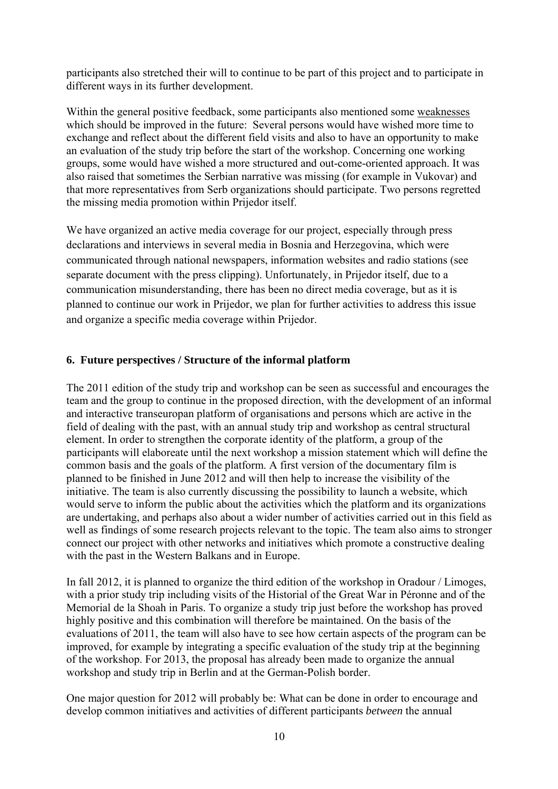participants also stretched their will to continue to be part of this project and to participate in different ways in its further development.

Within the general positive feedback, some participants also mentioned some weaknesses which should be improved in the future: Several persons would have wished more time to exchange and reflect about the different field visits and also to have an opportunity to make an evaluation of the study trip before the start of the workshop. Concerning one working groups, some would have wished a more structured and out-come-oriented approach. It was also raised that sometimes the Serbian narrative was missing (for example in Vukovar) and that more representatives from Serb organizations should participate. Two persons regretted the missing media promotion within Prijedor itself.

We have organized an active media coverage for our project, especially through press declarations and interviews in several media in Bosnia and Herzegovina, which were communicated through national newspapers, information websites and radio stations (see separate document with the press clipping). Unfortunately, in Prijedor itself, due to a communication misunderstanding, there has been no direct media coverage, but as it is planned to continue our work in Prijedor, we plan for further activities to address this issue and organize a specific media coverage within Prijedor.

#### **6. Future perspectives / Structure of the informal platform**

The 2011 edition of the study trip and workshop can be seen as successful and encourages the team and the group to continue in the proposed direction, with the development of an informal and interactive transeuropan platform of organisations and persons which are active in the field of dealing with the past, with an annual study trip and workshop as central structural element. In order to strengthen the corporate identity of the platform, a group of the participants will elaboreate until the next workshop a mission statement which will define the common basis and the goals of the platform. A first version of the documentary film is planned to be finished in June 2012 and will then help to increase the visibility of the initiative. The team is also currently discussing the possibility to launch a website, which would serve to inform the public about the activities which the platform and its organizations are undertaking, and perhaps also about a wider number of activities carried out in this field as well as findings of some research projects relevant to the topic. The team also aims to stronger connect our project with other networks and initiatives which promote a constructive dealing with the past in the Western Balkans and in Europe.

In fall 2012, it is planned to organize the third edition of the workshop in Oradour / Limoges, with a prior study trip including visits of the Historial of the Great War in Péronne and of the Memorial de la Shoah in Paris. To organize a study trip just before the workshop has proved highly positive and this combination will therefore be maintained. On the basis of the evaluations of 2011, the team will also have to see how certain aspects of the program can be improved, for example by integrating a specific evaluation of the study trip at the beginning of the workshop. For 2013, the proposal has already been made to organize the annual workshop and study trip in Berlin and at the German-Polish border.

One major question for 2012 will probably be: What can be done in order to encourage and develop common initiatives and activities of different participants *between* the annual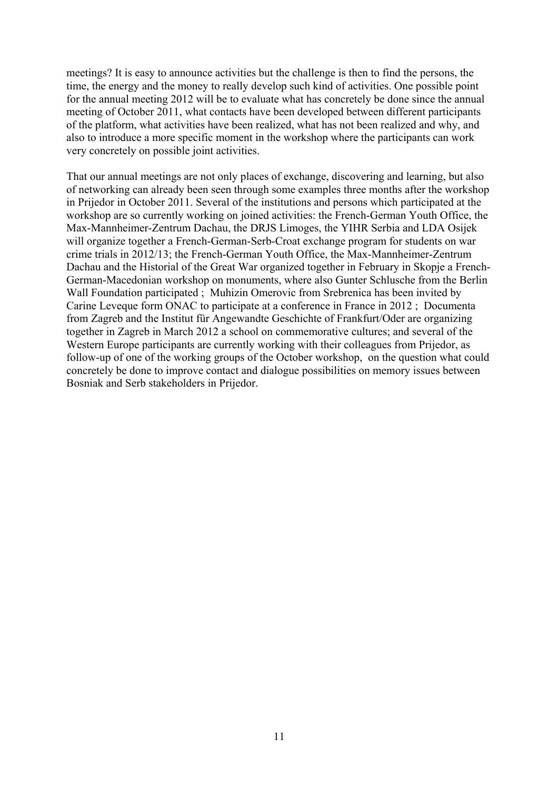meetings? It is easy to announce activities but the challenge is then to find the persons, the time, the energy and the money to really develop such kind of activities. One possible point for the annual meeting 2012 will be to evaluate what has concretely be done since the annual meeting of October 2011, what contacts have been developed between different participants of the platform, what activities have been realized, what has not been realized and why, and also to introduce a more specific moment in the workshop where the participants can work very concretely on possible joint activities.

That our annual meetings are not only places of exchange, discovering and learning, but also of networking can already been seen through some examples three months after the workshop in Prijedor in October 2011. Several of the institutions and persons which participated at the workshop are so currently working on joined activities: the French-German Youth Office, the Max-Mannheimer-Zentrum Dachau, the DRJS Limoges, the YIHR Serbia and LDA Osijek will organize together a French-German-Serb-Croat exchange program for students on war crime trials in 2012/13; the French-German Youth Office, the Max-Mannheimer-Zentrum Dachau and the Historial of the Great War organized together in February in Skopje a French-German-Macedonian workshop on monuments, where also Gunter Schlusche from the Berlin Wall Foundation participated ; Muhizin Omerovic from Srebrenica has been invited by Carine Leveque form ONAC to participate at a conference in France in 2012 ; Documenta from Zagreb and the Institut für Angewandte Geschichte of Frankfurt/Oder are organizing together in Zagreb in March 2012 a school on commemorative cultures; and several of the Western Europe participants are currently working with their colleagues from Prijedor, as follow-up of one of the working groups of the October workshop, on the question what could concretely be done to improve contact and dialogue possibilities on memory issues between Bosniak and Serb stakeholders in Prijedor.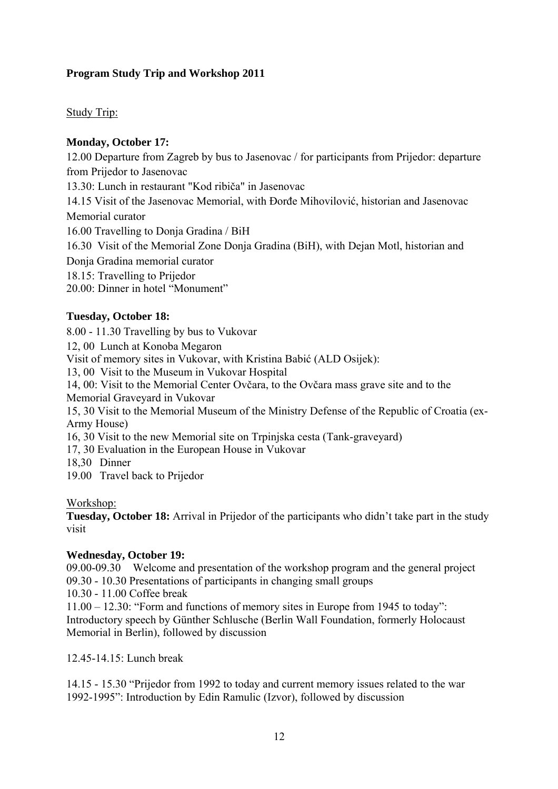## **Program Study Trip and Workshop 2011**

Study Trip:

#### **Monday, October 17:**

12.00 Departure from Zagreb by bus to Jasenovac / for participants from Prijedor: departure from Prijedor to Jasenovac

13.30: Lunch in restaurant "Kod ribiča" in Jasenovac

14.15 Visit of the Jasenovac Memorial, with Đorđe Mihovilović, historian and Jasenovac Memorial curator

16.00 Travelling to Donja Gradina / BiH

16.30 Visit of the Memorial Zone Donja Gradina (BiH), with Dejan Motl, historian and

Donja Gradina memorial curator

18.15: Travelling to Prijedor

20.00: Dinner in hotel "Monument"

#### **Tuesday, October 18:**

8.00 - 11.30 Travelling by bus to Vukovar

12, 00 Lunch at Konoba Megaron

Visit of memory sites in Vukovar, with Kristina Babić (ALD Osijek):

13, 00 Visit to the Museum in Vukovar Hospital

14, 00: Visit to the Memorial Center Ovčara, to the Ovčara mass grave site and to the Memorial Graveyard in Vukovar

15, 30 Visit to the Memorial Museum of the Ministry Defense of the Republic of Croatia (ex-Army House)

16, 30 Visit to the new Memorial site on Trpinjska cesta (Tank-graveyard)

17, 30 Evaluation in the European House in Vukovar

18,30 Dinner

19.00 Travel back to Prijedor

Workshop:

**Tuesday, October 18:** Arrival in Prijedor of the participants who didn't take part in the study visit

#### **Wednesday, October 19:**

09.00-09.30 Welcome and presentation of the workshop program and the general project 09.30 - 10.30 Presentations of participants in changing small groups

10.30 - 11.00 Coffee break

11.00 – 12.30: "Form and functions of memory sites in Europe from 1945 to today": Introductory speech by Günther Schlusche (Berlin Wall Foundation, formerly Holocaust Memorial in Berlin), followed by discussion

12.45-14.15: Lunch break

14.15 - 15.30 "Prijedor from 1992 to today and current memory issues related to the war 1992-1995": Introduction by Edin Ramulic (Izvor), followed by discussion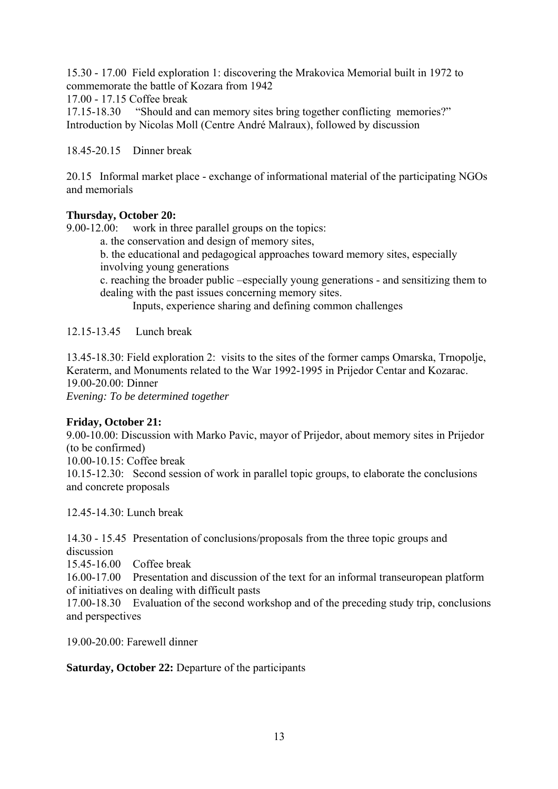15.30 - 17.00 Field exploration 1: discovering the Mrakovica Memorial built in 1972 to commemorate the battle of Kozara from 1942

17.00 - 17.15 Coffee break

17.15-18.30 "Should and can memory sites bring together conflicting memories?" Introduction by Nicolas Moll (Centre André Malraux), followed by discussion

18.45-20.15 Dinner break

20.15 Informal market place - exchange of informational material of the participating NGOs and memorials

#### **Thursday, October 20:**

9.00-12.00: work in three parallel groups on the topics:

- a. the conservation and design of memory sites,
- b. the educational and pedagogical approaches toward memory sites, especially involving young generations
- c. reaching the broader public –especially young generations and sensitizing them to dealing with the past issues concerning memory sites.

Inputs, experience sharing and defining common challenges

12.15-13.45 Lunch break

13.45-18.30: Field exploration 2: visits to the sites of the former camps Omarska, Trnopolje, Keraterm, and Monuments related to the War 1992-1995 in Prijedor Centar and Kozarac. 19.00-20.00: Dinner *Evening: To be determined together* 

#### **Friday, October 21:**

9.00-10.00: Discussion with Marko Pavic, mayor of Prijedor, about memory sites in Prijedor (to be confirmed)

10.00-10.15: Coffee break

10.15-12.30: Second session of work in parallel topic groups, to elaborate the conclusions and concrete proposals

12.45-14.30: Lunch break

14.30 - 15.45 Presentation of conclusions/proposals from the three topic groups and discussion

15.45-16.00 Coffee break

16.00-17.00 Presentation and discussion of the text for an informal transeuropean platform of initiatives on dealing with difficult pasts

17.00-18.30 Evaluation of the second workshop and of the preceding study trip, conclusions and perspectives

19.00-20.00: Farewell dinner

**Saturday, October 22:** Departure of the participants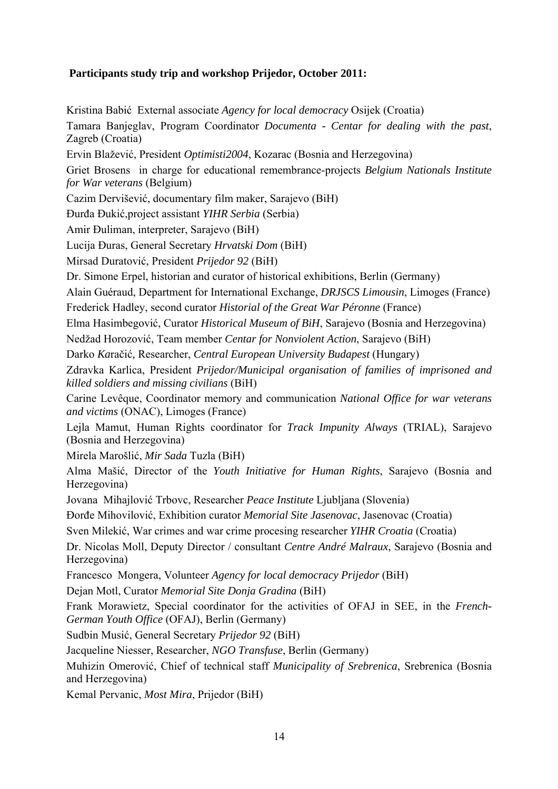## **Participants study trip and workshop Prijedor, October 2011:**

Kristina Babić External associate *Agency for local democracy* Osijek (Croatia) Tamara Banjeglav, Program Coordinator *Documenta - Centar for dealing with the past*, Zagreb (Croatia) Ervin Blažević, President *Optimisti2004*, Kozarac (Bosnia and Herzegovina) Griet Brosens in charge for educational remembrance-projects *Belgium Nationals Institute for War veterans* (Belgium) Cazim Dervišević, documentary film maker, Sarajevo (BiH) Đurđa Đukić,project assistant *YIHR Serbia* (Serbia) Amir Đuliman, interpreter, Sarajevo (BiH) Lucija Đuras, General Secretary *Hrvatski Dom* (BiH) Mirsad Duratović, President *Prijedor 92* (BiH) Dr. Simone Erpel, historian and curator of historical exhibitions, Berlin (Germany) Alain Guéraud, Department for International Exchange, *DRJSCS Limousin*, Limoges (France) Frederick Hadley, second curator *Historial of the Great War Péronne* (France) Elma Hasimbegović, Curator *Historical Museum of BiH*, Sarajevo (Bosnia and Herzegovina) Nedžad Horozović, Team member *Centar for Nonviolent Action*, Sarajevo (BiH) Darko *Ka*račić*,* Researcher, *Central European University Budapest* (Hungary) Zdravka Karlica, President *Prijedor/Municipal organisation of families of imprisoned and killed soldiers and missing civilians* (BiH) Carine Levêque, Coordinator memory and communication *National Office for war veterans and victims* (ONAC), Limoges (France) Lejla Mamut, Human Rights coordinator for *Track Impunity Always* (TRIAL), Sarajevo (Bosnia and Herzegovina) Mirela Marošlić, *Mir Sada* Tuzla (BiH) Alma Mašić, Director of the *Youth Initiative for Human Rights*, Sarajevo (Bosnia and Herzegovina) Jovana Mihajlović Trbovc, Researcher *Peace Institute* Ljubljana (Slovenia) Đorđe Mihovilović, Exhibition curator *Memorial Site Jasenovac*, Jasenovac (Croatia) Sven Milekić, War crimes and war crime procesing researcher *YIHR Croatia* (Croatia) Dr. Nicolas Moll, Deputy Director / consultant *Centre André Malraux*, Sarajevo (Bosnia and Herzegovina) Francesco Mongera, Volunteer *Agency for local democracy Prijedor* (BiH) Dejan Motl, Curator *Memorial Site Donja Gradina* (BiH) Frank Morawietz, Special coordinator for the activities of OFAJ in SEE, in the *French-German Youth Office* (OFAJ), Berlin (Germany) Sudbin Musić, General Secretary *Prijedor 92* (BiH) Jacqueline Niesser, Researcher, *NGO Transfuse*, Berlin (Germany) Muhizin Omerović, Chief of technical staff *Municipality of Srebrenica*, Srebrenica (Bosnia and Herzegovina) Kemal Pervanic, *Most Mira*, Prijedor (BiH)